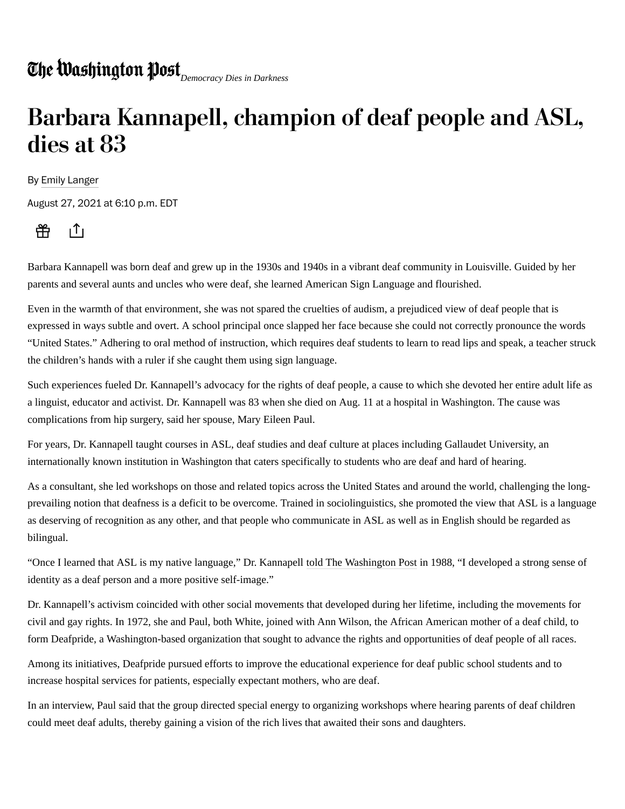## *Democracy Dies in Darkness*

## Barbara Kannapell, champion of deaf people and ASL, dies at 83

By Emily Langer

August 27, 2021 at 6:10 p.m. EDT



Barbara Kannapell was born deaf and grew up in the 1930s and 1940s in a vibrant deaf community in Louisville. Guided by her parents and several aunts and uncles who were deaf, she learned American Sign Language and flourished.

Even in the warmth of that environment, she was not spared the cruelties of audism, a prejudiced view of deaf people that is expressed in ways subtle and overt. A school principal once slapped her face because she could not correctly pronounce the words "United States." Adhering to oral method of instruction, which requires deaf students to learn to read lips and speak, a teacher struck the children's hands with a ruler if she caught them using sign language.

Such experiences fueled Dr. Kannapell's advocacy for the rights of deaf people, a cause to which she devoted her entire adult life as a linguist, educator and activist. Dr. Kannapell was 83 when she died on Aug. 11 at a hospital in Washington. The cause was complications from hip surgery, said her spouse, Mary Eileen Paul.

For years, Dr. Kannapell taught courses in ASL, deaf studies and deaf culture at places including Gallaudet University, an internationally known institution in Washington that caters specifically to students who are deaf and hard of hearing.

As a consultant, she led workshops on those and related topics across the United States and around the world, challenging the longprevailing notion that deafness is a deficit to be overcome. Trained in sociolinguistics, she promoted the view that ASL is a language as deserving of recognition as any other, and that people who communicate in ASL as well as in English should be regarded as bilingual.

"Once I learned that ASL is my native language," Dr. Kannapell told The Washington Post in 1988, "I developed a strong sense of identity as a deaf person and a more positive self-image."

Dr. Kannapell's activism coincided with other social movements that developed during her lifetime, including the movements for civil and gay rights. In 1972, she and Paul, both White, joined with Ann Wilson, the African American mother of a deaf child, to form Deafpride, a Washington-based organization that sought to advance the rights and opportunities of deaf people of all races.

Among its initiatives, Deafpride pursued efforts to improve the educational experience for deaf public school students and to increase hospital services for patients, especially expectant mothers, who are deaf.

In an interview, Paul said that the group directed special energy to organizing workshops where hearing parents of deaf children could meet deaf adults, thereby gaining a vision of the rich lives that awaited their sons and daughters.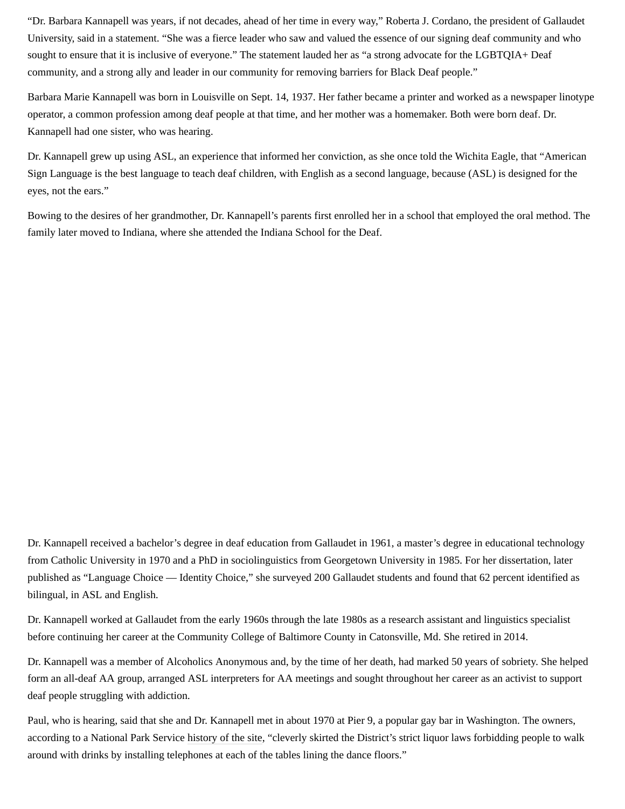"Dr. Barbara Kannapell was years, if not decades, ahead of her time in every way," Roberta J. Cordano, the president of Gallaudet University, said in a statement. "She was a fierce leader who saw and valued the essence of our signing deaf community and who sought to ensure that it is inclusive of everyone." The statement lauded her as "a strong advocate for the LGBTQIA+ Deaf community, and a strong ally and leader in our community for removing barriers for Black Deaf people."

Barbara Marie Kannapell was born in Louisville on Sept. 14, 1937. Her father became a printer and worked as a newspaper linotype operator, a common profession among deaf people at that time, and her mother was a homemaker. Both were born deaf. Dr. Kannapell had one sister, who was hearing.

Dr. Kannapell grew up using ASL, an experience that informed her conviction, as she once told the Wichita Eagle, that "American Sign Language is the best language to teach deaf children, with English as a second language, because (ASL) is designed for the eyes, not the ears."

Bowing to the desires of her grandmother, Dr. Kannapell's parents first enrolled her in a school that employed the oral method. The family later moved to Indiana, where she attended the Indiana School for the Deaf.

Dr. Kannapell received a bachelor's degree in deaf education from Gallaudet in 1961, a master's degree in educational technology from Catholic University in 1970 and a PhD in sociolinguistics from Georgetown University in 1985. For her dissertation, later published as "Language Choice — Identity Choice," she surveyed 200 Gallaudet students and found that 62 percent identified as bilingual, in ASL and English.

Dr. Kannapell worked at Gallaudet from the early 1960s through the late 1980s as a research assistant and linguistics specialist before continuing her career at the Community College of Baltimore County in Catonsville, Md. She retired in 2014.

Dr. Kannapell was a member of Alcoholics Anonymous and, by the time of her death, had marked 50 years of sobriety. She helped form an all-deaf AA group, arranged ASL interpreters for AA meetings and sought throughout her career as an activist to support deaf people struggling with addiction.

Paul, who is hearing, said that she and Dr. Kannapell met in about 1970 at Pier 9, a popular gay bar in Washington. The owners, according to a National Park Service history of the site, "cleverly skirted the District's strict liquor laws forbidding people to walk around with drinks by installing telephones at each of the tables lining the dance floors."